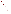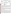**UNITED STATES ENVIRONMENTAL PROTECTION AGENCY**  Office of Research and Development Washington, D.C. 20460





## **ENVIRONMENTAL TECHNOLOGY VERIFICATION PROGRAM VERIFICATION STATEMENT**

|                          | TECHNOLOGY TYPE: FIELD PORTABLE X-RAY FLUORESCENCE ANALYZER                                                 |
|--------------------------|-------------------------------------------------------------------------------------------------------------|
| APPLICATION:             | <b>MEASUREMENT OF METALS IN SOIL</b>                                                                        |
| TECHNOLOGY NAME: TN 9000 |                                                                                                             |
| COMPANY:<br>ADDRESS:     | <b>TN SPECTRACE</b><br>2555 N. INTERSTATE HWY 35<br><b>P.O. BOX 800</b><br><b>ROUND ROCK, TX 78680-0800</b> |
| PHONE:                   | (512) 388-9100                                                                                              |

The U.S. Environmental Protection Agency (EPA) has created a program to facilitate the deployment of innovative technologies through performance verification and information dissemination. The goal of the Environmental Technology Verification (ETV) Program is to further environmental protection by substantially accelerating the acceptance and use of improved and more cost-effective technologies. The ETV Program is intended to assist and inform those involved in the design, distribution, permitting, and purchase of environmental technologies. This document summarizes the results of a demonstration of the Spectrace TN 9000 Analyzer.

### **PROGRAM OPERATION**

The EPA, in partnership with recognized testing organizations, objectively and systematically evaluates the performance of innovative technologies. Together, with the full participation of the technology developer, they develop plans, conduct tests, collect and analyze data, and report findings. The evaluations are conducted according to a rigorous demonstration plan and established protocols for quality assurance. The EPA's National Exposure Research Laboratory, which conducts demonstrations of field characterization and monitoring technologies, selected PRC Environmental Management, Inc., as the testing organization for the performance verification of field portable X-ray fluorescence (FPXRF) analyzers.

### **DEMONSTRATION DESCRIPTION**

In April 1995, the performance of seven FPXRF analyzers was determined under field conditions. Each analyzer was independently evaluated by comparing field analysis results to those obtained using approved reference methods. Standard reference materials (SRM) and performance evaluation (PE) samples also were used to independently assess the accuracy and comparability of each instrument.

The demonstration was designed to detect and measure a series of inorganic analytes in soil. The primary target analytes were arsenic, barium, chromium, copper, lead, and zinc; nickel, iron, cadmium, and antimony were secondary analytes. The demonstration sites were located in Iowa (the RV Hopkins site) and Washington (the ASARCO site). These sites were chosen because they exhibit a wide range of concentrations for most of the target metals and are located in different climatological regions of the United States; combined, they exhibit three distinct soil types: sand, clay, and loam. The conditions at these sites are representative of those environments under which the technology would be expected to operate. Details of the demonstration, including a data summary and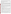discussion of results, may be found in the report entitled "Environmental Technology Verification Report, Field Portable X-ray Fluorescence Analyzer, Spectrace TN 9000 and TN Pb Field Portable X-ray Fluorescence Analyzers." The EPA document number for this report is EPA/600/R-97/145.

The EPA Method 6200 was tested and validated using the data derived from this demonstration. This method may be used to support the general application of FPXRF for environmental analysis.

#### **TECHNOLOGY DESCRIPTION**

This analyzer operates on the principle of energy dispersive X-ray fluorescence spectroscopy where the characteristic components of the excited X-ray spectrum are analyzed directly by an energy proportional response in an X-ray detector. Energy dispersion affords a highly efficient, full-spectrum measurement which enables the use of low intensity excitation sources (such as radioisotopes) and compact battery-powered, field-portable electronics. FPXRF instruments are designed to provide rapid analysis of metals in soil. This information allows investigation and remediation decisions to be made on-site and reduces the number of samples that need to be submitted for laboratory analysis. In the operation of these instruments, the user must be aware that FPXRF analyzers do not respond well to chromium and that detection limits may be 5 to 10 times greater than conventional laboratory methods. As with all field analysis programs, a portion of the samples should be sent to a laboratory for confirmatory analyses.

The TN 9000 is a commercially available instrument that can use up to three radioactive sources and a mercuric iodide semiconductor detector for the analysis of metals in soil. It is field portable, weighing less than 20 pounds, and can be battery powered for up to 8 hours. For this demonstration, the TN 9000's Soils Application software was configured to report concentrations for chromium, iron, nickel, copper, zinc, arsenic, lead, cadmium, antimony, and barium. Contaminant concentrations are computed using a fundamental parameters (FP) calibrated algorithm included in the analyzer's operations software. The FP calibration does not require site-specific calibration standards. The TN 9000 can conduct *in situ* measurements or measure samples in cups. At the time of testing, the TN 9000 cost about \$58,000, or it could be leased for \$6,000 per month or \$3,500 for 2 weeks.

# **VERIFICATION OF PERFORMANCE**

The performance characteristics of the TN 9000 include the following:

- **Detection limits:** Precision-based detection limits were determined by collecting 10 replicate measurements on site-specific soil samples with metals concentrations 2 to 5 times the expected MDLs. The results were 100 milligrams per kilogram (mg/kg) or less for all of the reported analytes except chromium, which was determined to be 200 mg/kg using the Fe<sup>55</sup> source and 500 mg/kg using the Cd<sup>109</sup> source which was used for the other reported analytes. Values for iron and cadmium were not reported due to an insufficient number of samples in the required concentration range.
- **Throughput:** Average throughput was 8.5 to 10.5 analyses per hour using a source count time of 220 seconds. This rate only represents the analysis time, since different personnel were used to prepare the samples.
- **Drift:** This was evaluated using the results of a daily analysis of an SRM which contained quantifiable levels of arsenic, barium, copper, lead, and zinc. Over the 18 days of the demonstration, the RSD values for the mean recovery of barium, copper, lead, and zinc were all less than 8 percent. The corresponding value for arsenic was 18.2 percent.
- **Completeness:** The TN 9000 produced results for 1,259 of the 1,260 samples analyzed, resulting in a completeness of 99.9 percent. The remaining sample was lost due to operator error in transferring the data.
- **Blank results:** During the demonstration, 37 blank samples were analyzed. None of the reported primary analytes were detected above the method detection limits. However, iron frequently reported a value above the MDL after analyzing samples with an iron concentration of greater than 20,000 mg/kg.
- **Precision:** The goal of the demonstration was to achieve relative standard deviations (RSD) less than 20 percent at analyte concentrations of 5 to 10 times the method detection limit. The RSD values for antimony,